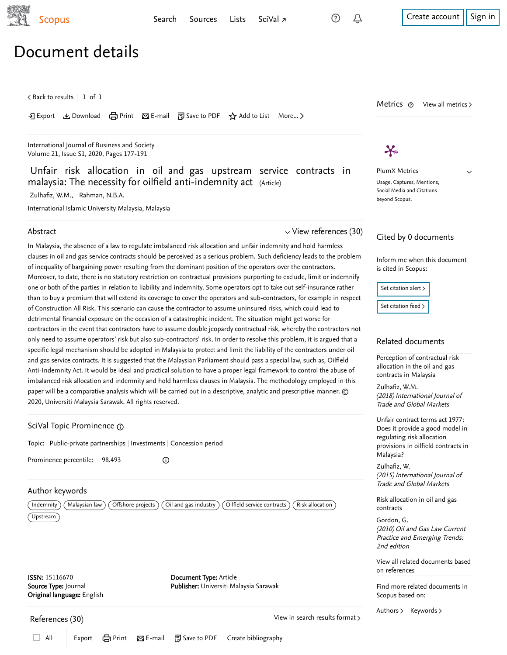## Document details

 $\zeta$  [Back to results](https://www-scopus-com.ezproxy.um.edu.my/results/results.uri?sort=plf-f&src=s&st1=Unfair+risk+allocation+in+oil+and+gas+upstream+service+contracts&st2=&sid=9dd5ba69ff8ec38fccc87e6b4dff1943&sot=b&sdt=b&sl=71&s=TITLE%28Unfair+risk+allocation+in+oil+and+gas+upstream+service+contracts%29&offset=1&origin=recordpage)  $\vert\,$   $\,$  1 of  $\,$  1  $\,$ 

Download 日 Print A E-mail 『別 Save to PDF ☆ Add to List More... >

[International Journal of Business and Society](https://www-scopus-com.ezproxy.um.edu.my/sourceid/19600162006?origin=recordpage) Volume 21, Issue S1, 2020, Pages 177-191

Unfair risk allocation in oil and gas upstream service contracts in malaysia: The necessity for oilfield anti-indemnity act (Article)

[Zulhafiz, W.M.](https://www-scopus-com.ezproxy.um.edu.my/authid/detail.uri?authorId=56692896300&eid=2-s2.0-85079626517), [Rahman, N.B.A.](https://www-scopus-com.ezproxy.um.edu.my/authid/detail.uri?authorId=57215002792&eid=2-s2.0-85079626517)

International Islamic University Malaysia, Malaysia

## Abstract

 $\vee$  [View references \(30\)](#page-0-0)

In Malaysia, the absence of a law to regulate imbalanced risk allocation and unfair indemnity and hold harmless clauses in oil and gas service contracts should be perceived as a serious problem. Such deficiency leads to the problem of inequality of bargaining power resulting from the dominant position of the operators over the contractors. Moreover, to date, there is no statutory restriction on contractual provisions purporting to exclude, limit or indemnify one or both of the parties in relation to liability and indemnity. Some operators opt to take out self-insurance rather than to buy a premium that will extend its coverage to cover the operators and sub-contractors, for example in respect of Construction All Risk. This scenario can cause the contractor to assume uninsured risks, which could lead to detrimental financial exposure on the occasion of a catastrophic incident. The situation might get worse for contractors in the event that contractors have to assume double jeopardy contractual risk, whereby the contractors not only need to assume operators' risk but also sub-contractors' risk. In order to resolve this problem, it is argued that a specific legal mechanism should be adopted in Malaysia to protect and limit the liability of the contractors under oil and gas service contracts. It is suggested that the Malaysian Parliament should pass a special law, such as, Oilfield Anti-Indemnity Act. It would be ideal and practical solution to have a proper legal framework to control the abuse of imbalanced risk allocation and indemnity and hold harmless clauses in Malaysia. The methodology employed in this paper will be a comparative analysis which will be carried out in a descriptive, analytic and prescriptive manner. © 2020, Universiti Malaysia Sarawak. All rights reserved.

## References (30) SciVal Topic Prominence Topic: Public-private partnerships | Investments | Concession period Prominence percentile: 98.493 Author keywords  $\sqrt{1}$  Indemnity  $\sqrt{1}$  Malaysian law  $\sqrt{1}$  Offshore projects  $\sqrt{1}$  Oil and gas industry  $\sqrt{1}$  Oilfield service contracts  $\sqrt{1}$  Risk allocation Upstream  $^\circledR$ ISSN: 15116670 Source Type: Journal Original language: English Document Type: Article Publisher: Universiti Malaysia Sarawak [View in search results format](https://www-scopus-com.ezproxy.um.edu.my/search/submit/references.uri?sort=plf-f&src=r&imp=t&sid=7f30074d92179bbbe6c056ce7b427793&sot=rec&sdt=citedreferences&sl=23&s=EID%282-s2.0-85079626517%29&origin=recordpage&citeCnt=1&citingId=2-s2.0-85079626517)  $\rightarrow$ (2015) International Journal of Trade and Global Markets (2010) Oil and Gas Law Current Practice and Emerging Trends: 2nd edition Find more related documents in Scopus based on: Unfair contract terms act 1977: Does it provide a good model in regulating risk allocation [provisions in oilfield contracts in](https://www-scopus-com.ezproxy.um.edu.my/record/display.uri?origin=recordpage&zone=relatedDocuments&eid=2-s2.0-84931828394&citeCnt=0&noHighlight=false&sort=plf-f&src=s&st1=Unfair+risk+allocation+in+oil+and+gas+upstream+service+contracts&st2=&sid=9dd5ba69ff8ec38fccc87e6b4dff1943&sot=b&sdt=b&sl=71&s=TITLE%28Unfair+risk+allocation+in+oil+and+gas+upstream+service+contracts%29&relpos=1) Malaysia? [Zulhafiz, W.](https://www-scopus-com.ezproxy.um.edu.my/authid/detail.uri?origin=recordpage&authorId=56692896300&zone=relatedDocuments) [Risk allocation in oil and gas](https://www-scopus-com.ezproxy.um.edu.my/record/display.uri?origin=recordpage&zone=relatedDocuments&eid=2-s2.0-84937801327&citeCnt=0&noHighlight=false&sort=plf-f&src=s&st1=Unfair+risk+allocation+in+oil+and+gas+upstream+service+contracts&st2=&sid=9dd5ba69ff8ec38fccc87e6b4dff1943&sot=b&sdt=b&sl=71&s=TITLE%28Unfair+risk+allocation+in+oil+and+gas+upstream+service+contracts%29&relpos=2) contracts [Gordon, G.](https://www-scopus-com.ezproxy.um.edu.my/authid/detail.uri?origin=recordpage&authorId=56734109900&zone=relatedDocuments) [View all related documents based](https://www-scopus-com.ezproxy.um.edu.my/search/submit/mlt.uri?eid=2-s2.0-85079626517&src=s&all=true&origin=recordpage&method=ref&zone=relatedDocuments) on references [Authors](https://www-scopus-com.ezproxy.um.edu.my/search/submit/mlt.uri?eid=2-s2.0-85079626517&src=s&all=true&origin=recordpage&method=aut&zone=relatedDocuments) > [Keywords](https://www-scopus-com.ezproxy.um.edu.my/search/submit/mlt.uri?eid=2-s2.0-85079626517&src=s&all=true&origin=recordpage&method=key&zone=relatedDocuments) >

<span id="page-0-0"></span>All Export  $\Box$  All Export  $\Box$  Print  $\boxtimes$  E-mail  $\Box$  Save to PDF Create bibliography

 $\boldsymbol{\varkappa}$ PlumX Metrics Usage, Captures, Mentions, Social Media and Citations

Cited by 0 documents

is cited in Scopus:

Set citation alert >

[Set citation feed](https://www-scopus-com.ezproxy.um.edu.my/results/rss/handler.uri?citeEid=2-s2.0-85079626517) >

Related documents

(2018) International Journal of Trade and Global Markets

[Perception of contractual risk](https://www-scopus-com.ezproxy.um.edu.my/record/display.uri?origin=recordpage&zone=relatedDocuments&eid=2-s2.0-85049118786&citeCnt=0&noHighlight=false&sort=plf-f&src=s&st1=Unfair+risk+allocation+in+oil+and+gas+upstream+service+contracts&st2=&sid=9dd5ba69ff8ec38fccc87e6b4dff1943&sot=b&sdt=b&sl=71&s=TITLE%28Unfair+risk+allocation+in+oil+and+gas+upstream+service+contracts%29&relpos=0) allocation in the oil and gas contracts in Malaysia [Zulhafiz, W.M.](https://www-scopus-com.ezproxy.um.edu.my/authid/detail.uri?origin=recordpage&authorId=56692896300&zone=relatedDocuments)

Inform me when this document

Metrics  $\circledcirc$  View all metrics >

beyond Scopus.

 $\checkmark$